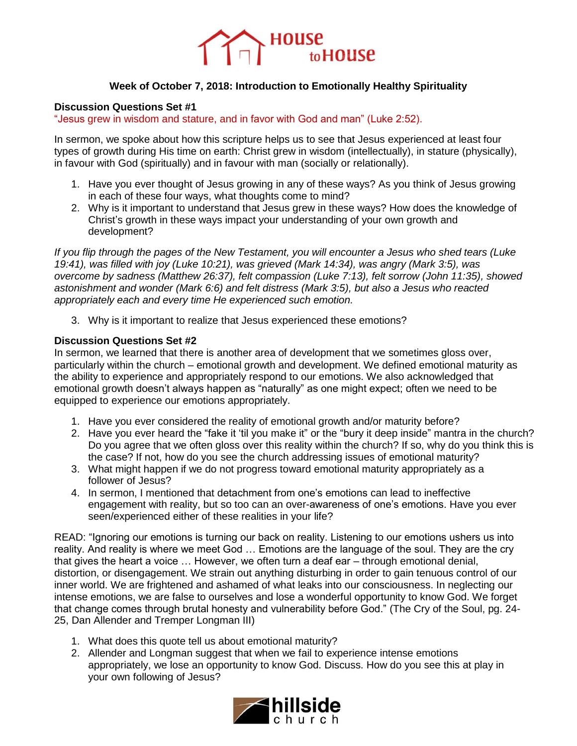

## **Week of October 7, 2018: Introduction to Emotionally Healthy Spirituality**

## **Discussion Questions Set #1**

"Jesus grew in wisdom and stature, and in favor with God and man" (Luke 2:52).

In sermon, we spoke about how this scripture helps us to see that Jesus experienced at least four types of growth during His time on earth: Christ grew in wisdom (intellectually), in stature (physically), in favour with God (spiritually) and in favour with man (socially or relationally).

- 1. Have you ever thought of Jesus growing in any of these ways? As you think of Jesus growing in each of these four ways, what thoughts come to mind?
- 2. Why is it important to understand that Jesus grew in these ways? How does the knowledge of Christ's growth in these ways impact your understanding of your own growth and development?

*If you flip through the pages of the New Testament, you will encounter a Jesus who shed tears (Luke 19:41), was filled with joy (Luke 10:21), was grieved (Mark 14:34), was angry (Mark 3:5), was overcome by sadness (Matthew 26:37), felt compassion (Luke 7:13), felt sorrow (John 11:35), showed astonishment and wonder (Mark 6:6) and felt distress (Mark 3:5), but also a Jesus who reacted appropriately each and every time He experienced such emotion.*

3. Why is it important to realize that Jesus experienced these emotions?

## **Discussion Questions Set #2**

In sermon, we learned that there is another area of development that we sometimes gloss over, particularly within the church – emotional growth and development. We defined emotional maturity as the ability to experience and appropriately respond to our emotions. We also acknowledged that emotional growth doesn't always happen as "naturally" as one might expect; often we need to be equipped to experience our emotions appropriately.

- 1. Have you ever considered the reality of emotional growth and/or maturity before?
- 2. Have you ever heard the "fake it 'til you make it" or the "bury it deep inside" mantra in the church? Do you agree that we often gloss over this reality within the church? If so, why do you think this is the case? If not, how do you see the church addressing issues of emotional maturity?
- 3. What might happen if we do not progress toward emotional maturity appropriately as a follower of Jesus?
- 4. In sermon, I mentioned that detachment from one's emotions can lead to ineffective engagement with reality, but so too can an over-awareness of one's emotions. Have you ever seen/experienced either of these realities in your life?

READ: "Ignoring our emotions is turning our back on reality. Listening to our emotions ushers us into reality. And reality is where we meet God … Emotions are the language of the soul. They are the cry that gives the heart a voice … However, we often turn a deaf ear – through emotional denial, distortion, or disengagement. We strain out anything disturbing in order to gain tenuous control of our inner world. We are frightened and ashamed of what leaks into our consciousness. In neglecting our intense emotions, we are false to ourselves and lose a wonderful opportunity to know God. We forget that change comes through brutal honesty and vulnerability before God." (The Cry of the Soul, pg. 24- 25, Dan Allender and Tremper Longman III)

- 1. What does this quote tell us about emotional maturity?
- 2. Allender and Longman suggest that when we fail to experience intense emotions appropriately, we lose an opportunity to know God. Discuss. How do you see this at play in your own following of Jesus?